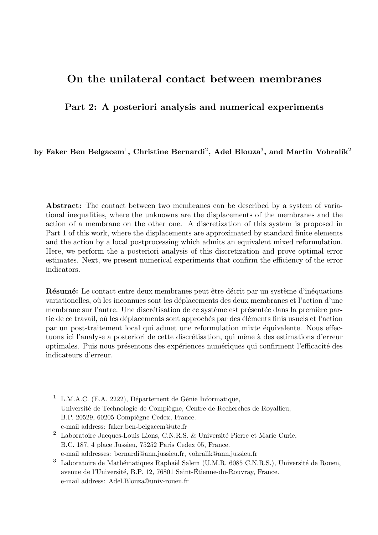# On the unilateral contact between membranes

# Part 2: A posteriori analysis and numerical experiments

by Faker Ben Belgacem $^1,$  Christine Bernardi $^2,$  Adel Blouza $^3,$  and Martin Vohralík $^2$ 

Abstract: The contact between two membranes can be described by a system of variational inequalities, where the unknowns are the displacements of the membranes and the action of a membrane on the other one. A discretization of this system is proposed in Part 1 of this work, where the displacements are approximated by standard finite elements and the action by a local postprocessing which admits an equivalent mixed reformulation. Here, we perform the a posteriori analysis of this discretization and prove optimal error estimates. Next, we present numerical experiments that confirm the efficiency of the error indicators.

Résumé: Le contact entre deux membranes peut être décrit par un système d'inéquations variationelles, où les inconnues sont les déplacements des deux membranes et l'action d'une membrane sur l'autre. Une discrétisation de ce système est présentée dans la première partie de ce travail, où les déplacements sont approchés par des éléments finis usuels et l'action par un post-traitement local qui admet une reformulation mixte équivalente. Nous effectuons ici l'analyse a posteriori de cette discrétisation, qui mène à des estimations d'erreur optimales. Puis nous présentons des expériences numériques qui confirment l'efficacité des indicateurs d'erreur.

<sup>1</sup> L.M.A.C. (E.A. 2222), Département de Génie Informatique, Université de Technologie de Compiègne, Centre de Recherches de Royallieu, B.P. 20529, 60205 Compiègne Cedex, France. e-mail address: faker.ben-belgacem@utc.fr

<sup>2</sup> Laboratoire Jacques-Louis Lions, C.N.R.S. & Université Pierre et Marie Curie, B.C. 187, 4 place Jussieu, 75252 Paris Cedex 05, France. e-mail addresses: bernardi@ann.jussieu.fr, vohralik@ann.jussieu.fr

<sup>&</sup>lt;sup>3</sup> Laboratoire de Mathématiques Raphaël Salem (U.M.R. 6085 C.N.R.S.), Université de Rouen, avenue de l'Université, B.P. 12, 76801 Saint-Étienne-du-Rouvray, France. e-mail address: Adel.Blouza@univ-rouen.fr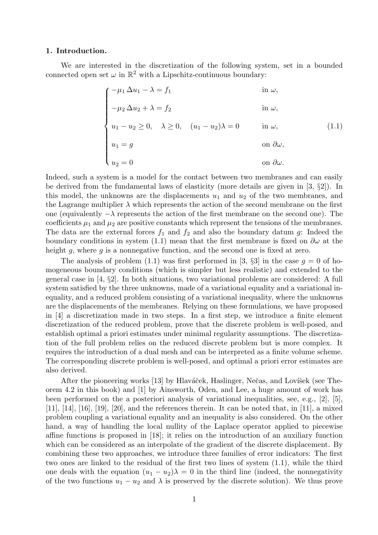#### 1. Introduction.

We are interested in the discretization of the following system, set in a bounded connected open set  $\omega$  in  $\mathbb{R}^2$  with a Lipschitz-continuous boundary:

$$
\begin{cases}\n-\mu_1 \Delta u_1 - \lambda = f_1 & \text{in } \omega, \\
-\mu_2 \Delta u_2 + \lambda = f_2 & \text{in } \omega, \\
u_1 - u_2 \ge 0, & \lambda \ge 0, \quad (u_1 - u_2)\lambda = 0 & \text{in } \omega, \\
u_1 = g & \text{on } \partial \omega, \\
u_2 = 0 & \text{on } \partial \omega.\n\end{cases}
$$
\n(1.1)

Indeed, such a system is a model for the contact between two membranes and can easily be derived from the fundamental laws of elasticity (more details are given in [3, §2]). In this model, the unknowns are the displacements  $u_1$  and  $u_2$  of the two membranes, and the Lagrange multiplier  $\lambda$  which represents the action of the second membrane on the first one (equivalently  $-\lambda$  represents the action of the first membrane on the second one). The coefficients  $\mu_1$  and  $\mu_2$  are positive constants which represent the tensions of the membranes. The data are the external forces  $f_1$  and  $f_2$  and also the boundary datum g: Indeed the boundary conditions in system (1.1) mean that the first membrane is fixed on  $\partial\omega$  at the height q, where q is a nonnegative function, and the second one is fixed at zero.

The analysis of problem (1.1) was first performed in [3,  $\S3$ ] in the case  $g = 0$  of homogeneous boundary conditions (which is simpler but less realistic) and extended to the general case in [4, §2]. In both situations, two variational problems are considered: A full system satisfied by the three unknowns, made of a variational equality and a variational inequality, and a reduced problem consisting of a variational inequality, where the unknowns are the displacements of the membranes. Relying on these formulations, we have proposed in [4] a discretization made in two steps. In a first step, we introduce a finite element discretization of the reduced problem, prove that the discrete problem is well-posed, and establish optimal a priori estimates under minimal regularity assumptions. The discretization of the full problem relies on the reduced discrete problem but is more complex. It requires the introduction of a dual mesh and can be interpreted as a finite volume scheme. The corresponding discrete problem is well-posed, and optimal a priori error estimates are also derived.

After the pioneering works [13] by Hlaváček, Haslinger, Nečas, and Lovíšek (see Theorem 4.2 in this book) and [1] by Ainsworth, Oden, and Lee, a huge amount of work has been performed on the a posteriori analysis of variational inequalities, see, e.g., [2], [5],  $[11]$ ,  $[14]$ ,  $[16]$ ,  $[19]$ ,  $[20]$ , and the references therein. It can be noted that, in [11], a mixed problem coupling a variational equality and an inequality is also considered. On the other hand, a way of handling the local nullity of the Laplace operator applied to piecewise affine functions is proposed in [18]; it relies on the introduction of an auxiliary function which can be considered as an interpolate of the gradient of the discrete displacement. By combining these two approaches, we introduce three families of error indicators: The first two ones are linked to the residual of the first two lines of system (1.1), while the third one deals with the equation  $(u_1 - u_2)\lambda = 0$  in the third line (indeed, the nonnegativity of the two functions  $u_1 - u_2$  and  $\lambda$  is preserved by the discrete solution). We thus prove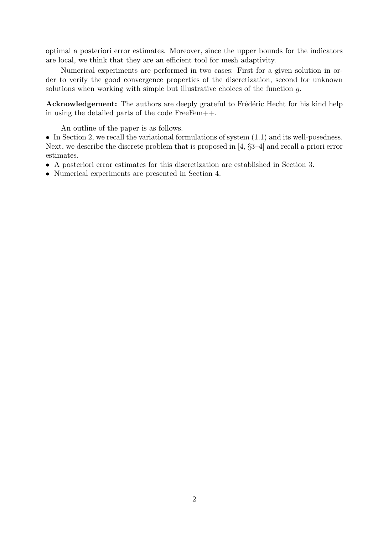optimal a posteriori error estimates. Moreover, since the upper bounds for the indicators are local, we think that they are an efficient tool for mesh adaptivity.

Numerical experiments are performed in two cases: First for a given solution in order to verify the good convergence properties of the discretization, second for unknown solutions when working with simple but illustrative choices of the function g.

Acknowledgement: The authors are deeply grateful to Frédéric Hecht for his kind help in using the detailed parts of the code FreeFem++.

An outline of the paper is as follows.

• In Section 2, we recall the variational formulations of system  $(1.1)$  and its well-posedness. Next, we describe the discrete problem that is proposed in [4, §3–4] and recall a priori error estimates.

- A posteriori error estimates for this discretization are established in Section 3.
- Numerical experiments are presented in Section 4.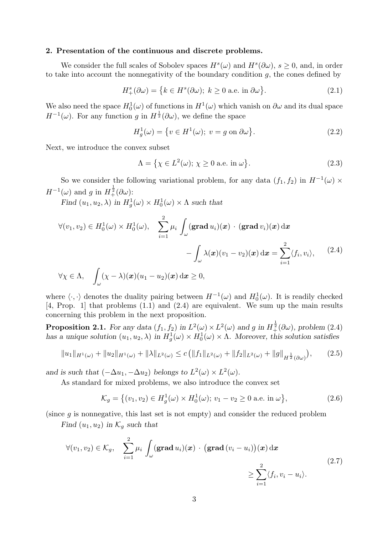#### 2. Presentation of the continuous and discrete problems.

We consider the full scales of Sobolev spaces  $H^s(\omega)$  and  $H^s(\partial \omega)$ ,  $s \geq 0$ , and, in order to take into account the nonnegativity of the boundary condition  $g$ , the cones defined by

$$
H_+^s(\partial \omega) = \{ k \in H^s(\partial \omega); \ k \ge 0 \text{ a.e. in } \partial \omega \}. \tag{2.1}
$$

We also need the space  $H_0^1(\omega)$  of functions in  $H^1(\omega)$  which vanish on  $\partial\omega$  and its dual space  $H^{-1}(\omega)$ . For any function g in  $H^{\frac{1}{2}}(\partial \omega)$ , we define the space

$$
H_g^1(\omega) = \{ v \in H^1(\omega); \ v = g \text{ on } \partial \omega \}. \tag{2.2}
$$

Next, we introduce the convex subset

$$
\Lambda = \left\{ \chi \in L^2(\omega); \, \chi \ge 0 \text{ a.e. in } \omega \right\}. \tag{2.3}
$$

So we consider the following variational problem, for any data  $(f_1, f_2)$  in  $H^{-1}(\omega) \times$  $H^{-1}(\omega)$  and g in  $H_{+}^{\frac{1}{2}}(\partial \omega)$ :

Find  $(u_1, u_2, \lambda)$  in  $H_g^1(\omega) \times H_0^1(\omega) \times \Lambda$  such that

$$
\forall (v_1, v_2) \in H_0^1(\omega) \times H_0^1(\omega), \quad \sum_{i=1}^2 \mu_i \int_{\omega} (\mathbf{grad } u_i)(\mathbf{x}) \cdot (\mathbf{grad } v_i)(\mathbf{x}) \, d\mathbf{x}
$$

$$
- \int_{\omega} \lambda(\mathbf{x}) (v_1 - v_2)(\mathbf{x}) \, d\mathbf{x} = \sum_{i=1}^2 \langle f_i, v_i \rangle, \qquad (2.4)
$$

$$
\forall \chi \in \Lambda, \quad \int_{\omega} (\chi - \lambda)(\boldsymbol{x}) (u_1 - u_2)(\boldsymbol{x}) \, \mathrm{d}\boldsymbol{x} \geq 0,
$$

where  $\langle \cdot, \cdot \rangle$  denotes the duality pairing between  $H^{-1}(\omega)$  and  $H_0^1(\omega)$ . It is readily checked [4, Prop. 1] that problems (1.1) and (2.4) are equivalent. We sum up the main results concerning this problem in the next proposition.

**Proposition 2.1.** For any data  $(f_1, f_2)$  in  $L^2(\omega) \times L^2(\omega)$  and g in  $H^{\frac{1}{2}}_{+}(\partial \omega)$ , problem (2.4) has a unique solution  $(u_1, u_2, \lambda)$  in  $H_g^1(\omega) \times H_0^1(\omega) \times \Lambda$ . Moreover, this solution satisfies

$$
||u_1||_{H^1(\omega)} + ||u_2||_{H^1(\omega)} + ||\lambda||_{L^2(\omega)} \le c \left( ||f_1||_{L^2(\omega)} + ||f_2||_{L^2(\omega)} + ||g||_{H^{\frac{1}{2}}(\partial \omega)} \right), \qquad (2.5)
$$

and is such that  $(-\Delta u_1, -\Delta u_2)$  belongs to  $L^2(\omega) \times L^2(\omega)$ .

As standard for mixed problems, we also introduce the convex set

$$
\mathcal{K}_g = \left\{ (v_1, v_2) \in H_g^1(\omega) \times H_0^1(\omega); v_1 - v_2 \ge 0 \text{ a.e. in } \omega \right\},\tag{2.6}
$$

(since  $q$  is nonnegative, this last set is not empty) and consider the reduced problem

Find  $(u_1, u_2)$  in  $\mathcal{K}_g$  such that

$$
\forall (v_1, v_2) \in \mathcal{K}_g, \quad \sum_{i=1}^2 \mu_i \int_{\omega} (\mathbf{grad} \, u_i)(\mathbf{x}) \cdot (\mathbf{grad} \, (v_i - u_i))(\mathbf{x}) \, d\mathbf{x} \geq \sum_{i=1}^2 \langle f_i, v_i - u_i \rangle.
$$
\n(2.7)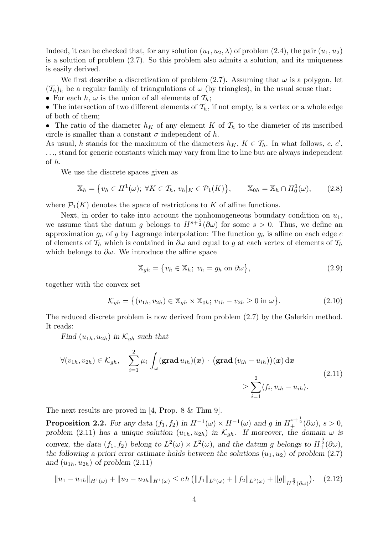Indeed, it can be checked that, for any solution  $(u_1, u_2, \lambda)$  of problem (2.4), the pair  $(u_1, u_2)$ is a solution of problem (2.7). So this problem also admits a solution, and its uniqueness is easily derived.

We first describe a discretization of problem (2.7). Assuming that  $\omega$  is a polygon, let  $({\mathcal T}_h)_h$  be a regular family of triangulations of  $\omega$  (by triangles), in the usual sense that: • For each  $h, \overline{\omega}$  is the union of all elements of  $\mathcal{T}_h$ ;

• The intersection of two different elements of  $\mathcal{T}_h$ , if not empty, is a vertex or a whole edge of both of them;

• The ratio of the diameter  $h_K$  of any element K of  $\mathcal{T}_h$  to the diameter of its inscribed circle is smaller than a constant  $\sigma$  independent of h.

As usual, h stands for the maximum of the diameters  $h_K$ ,  $K \in \mathcal{T}_h$ . In what follows, c, c', . . ., stand for generic constants which may vary from line to line but are always independent of h.

We use the discrete spaces given as

$$
\mathbb{X}_h = \left\{ v_h \in H^1(\omega) ; \ \forall K \in \mathcal{T}_h, \ v_h |_K \in \mathcal{P}_1(K) \right\}, \qquad \mathbb{X}_{0h} = \mathbb{X}_h \cap H_0^1(\omega), \tag{2.8}
$$

where  $\mathcal{P}_1(K)$  denotes the space of restrictions to K of affine functions.

Next, in order to take into account the nonhomogeneous boundary condition on  $u_1$ , we assume that the datum g belongs to  $H^{s+\frac{1}{2}}(\partial\omega)$  for some  $s>0$ . Thus, we define an approximation  $g_h$  of g by Lagrange interpolation: The function  $g_h$  is affine on each edge e of elements of  $\mathcal{T}_h$  which is contained in  $\partial\omega$  and equal to g at each vertex of elements of  $\mathcal{T}_h$ which belongs to  $\partial \omega$ . We introduce the affine space

$$
\mathbb{X}_{gh} = \{ v_h \in \mathbb{X}_h; \ v_h = g_h \text{ on } \partial \omega \},\tag{2.9}
$$

together with the convex set

$$
\mathcal{K}_{gh} = \{(v_{1h}, v_{2h}) \in \mathbb{X}_{gh} \times \mathbb{X}_{0h}; v_{1h} - v_{2h} \ge 0 \text{ in } \omega\}.
$$
 (2.10)

The reduced discrete problem is now derived from problem (2.7) by the Galerkin method. It reads:

Find  $(u_{1h}, u_{2h})$  in  $\mathcal{K}_{gh}$  such that

$$
\forall (v_{1h}, v_{2h}) \in \mathcal{K}_{gh}, \quad \sum_{i=1}^{2} \mu_i \int_{\omega} (\mathbf{grad} \, u_{ih})(\mathbf{x}) \cdot (\mathbf{grad} \, (v_{ih} - u_{ih}))( \mathbf{x}) \, d\mathbf{x} \geq \sum_{i=1}^{2} \langle f_i, v_{ih} - u_{ih} \rangle.
$$
\n(2.11)

The next results are proved in [4, Prop. 8 & Thm 9].

**Proposition 2.2.** For any data  $(f_1, f_2)$  in  $H^{-1}(\omega) \times H^{-1}(\omega)$  and g in  $H_+^{s+\frac{1}{2}}(\partial \omega)$ ,  $s > 0$ , problem (2.11) has a unique solution  $(u_{1h}, u_{2h})$  in  $\mathcal{K}_{gh}$ . If moreover, the domain  $\omega$  is convex, the data  $(f_1, f_2)$  belong to  $L^2(\omega) \times L^2(\omega)$ , and the datum g belongs to  $H^{\frac{3}{2}}_+(\partial \omega)$ , the following a priori error estimate holds between the solutions  $(u_1, u_2)$  of problem  $(2.7)$ and  $(u_{1h}, u_{2h})$  of problem  $(2.11)$ 

$$
||u_1 - u_{1h}||_{H^1(\omega)} + ||u_2 - u_{2h}||_{H^1(\omega)} \le ch \left( ||f_1||_{L^2(\omega)} + ||f_2||_{L^2(\omega)} + ||g||_{H^{\frac{3}{2}}(\partial \omega)} \right).
$$
 (2.12)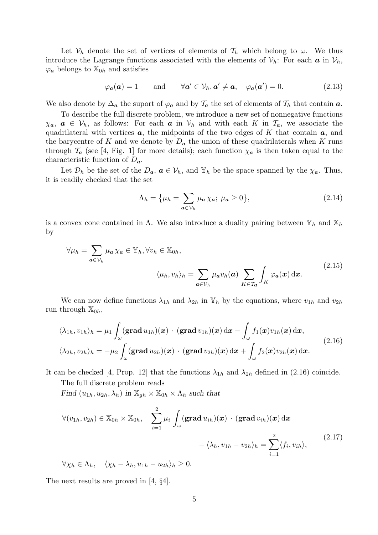Let  $\mathcal{V}_h$  denote the set of vertices of elements of  $\mathcal{T}_h$  which belong to  $\omega$ . We thus introduce the Lagrange functions associated with the elements of  $V_h$ : For each a in  $V_h$ ,  $\varphi_a$  belongs to  $\mathbb{X}_{0h}$  and satisfies

$$
\varphi_a(\mathbf{a}) = 1
$$
 and  $\forall \mathbf{a}' \in \mathcal{V}_h, \mathbf{a}' \neq \mathbf{a}, \varphi_a(\mathbf{a}') = 0.$  (2.13)

We also denote by  $\Delta_a$  the suport of  $\varphi_a$  and by  $\mathcal{T}_a$  the set of elements of  $\mathcal{T}_h$  that contain  $a$ .

To describe the full discrete problem, we introduce a new set of nonnegative functions  $\chi_a, a \in V_h$ , as follows: For each a in  $V_h$  and with each K in  $\mathcal{T}_a$ , we associate the quadrilateral with vertices  $a$ , the midpoints of the two edges of K that contain  $a$ , and the barycentre of K and we denote by  $D_a$  the union of these quadrilaterals when K runs through  $\mathcal{T}_a$  (see [4, Fig. 1] for more details); each function  $\chi_a$  is then taken equal to the characteristic function of  $D_{a}$ .

Let  $\mathcal{D}_h$  be the set of the  $D_a$ ,  $a \in \mathcal{V}_h$ , and  $\mathbb{Y}_h$  be the space spanned by the  $\chi_a$ . Thus, it is readily checked that the set

$$
\Lambda_h = \{\mu_h = \sum_{a \in \mathcal{V}_h} \mu_a \chi_a; \ \mu_a \ge 0\},\tag{2.14}
$$

is a convex cone contained in  $\Lambda$ . We also introduce a duality pairing between  $\mathbb{Y}_h$  and  $\mathbb{X}_h$ by

$$
\forall \mu_h = \sum_{a \in \mathcal{V}_h} \mu_a \chi_a \in \mathbb{Y}_h, \forall v_h \in \mathbb{X}_{0h},
$$

$$
\langle \mu_h, v_h \rangle_h = \sum_{a \in \mathcal{V}_h} \mu_a v_h(a) \sum_{K \in \mathcal{T}_a} \int_K \varphi_a(x) dx.
$$
(2.15)

We can now define functions  $\lambda_{1h}$  and  $\lambda_{2h}$  in  $\mathbb{Y}_h$  by the equations, where  $v_{1h}$  and  $v_{2h}$ run through  $\mathbb{X}_{0h}$ ,

$$
\langle \lambda_{1h}, v_{1h} \rangle_h = \mu_1 \int_{\omega} (\mathbf{grad} \, u_{1h})(\mathbf{x}) \cdot (\mathbf{grad} \, v_{1h})(\mathbf{x}) \, \mathrm{d}\mathbf{x} - \int_{\omega} f_1(\mathbf{x}) v_{1h}(\mathbf{x}) \, \mathrm{d}\mathbf{x},
$$
  

$$
\langle \lambda_{2h}, v_{2h} \rangle_h = -\mu_2 \int_{\omega} (\mathbf{grad} \, u_{2h})(\mathbf{x}) \cdot (\mathbf{grad} \, v_{2h})(\mathbf{x}) \, \mathrm{d}\mathbf{x} + \int_{\omega} f_2(\mathbf{x}) v_{2h}(\mathbf{x}) \, \mathrm{d}\mathbf{x}.
$$
 (2.16)

It can be checked [4, Prop. 12] that the functions  $\lambda_{1h}$  and  $\lambda_{2h}$  defined in (2.16) coincide.

The full discrete problem reads

Find  $(u_{1h}, u_{2h}, \lambda_h)$  in  $\mathbb{X}_{qh} \times \mathbb{X}_{0h} \times \Lambda_h$  such that

$$
\forall (v_{1h}, v_{2h}) \in \mathbb{X}_{0h} \times \mathbb{X}_{0h}, \quad \sum_{i=1}^{2} \mu_i \int_{\omega} (\mathbf{grad} \, u_{ih})(\mathbf{x}) \cdot (\mathbf{grad} \, v_{ih})(\mathbf{x}) \, \mathrm{d}\mathbf{x} \n- \langle \lambda_h, v_{1h} - v_{2h} \rangle_h = \sum_{i=1}^{2} \langle f_i, v_{ih} \rangle,
$$
\n(2.17)

$$
\forall \chi_h \in \Lambda_h, \quad \langle \chi_h - \lambda_h, u_{1h} - u_{2h} \rangle_h \ge 0.
$$

The next results are proved in [4, §4].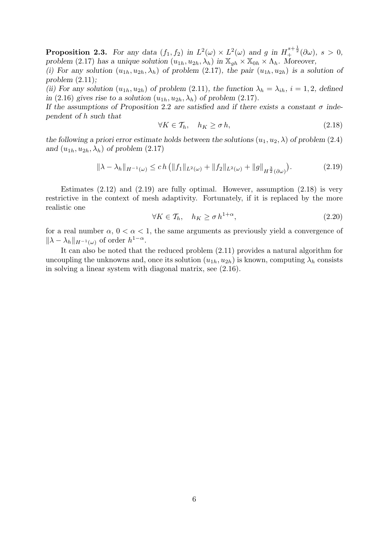**Proposition 2.3.** For any data  $(f_1, f_2)$  in  $L^2(\omega) \times L^2(\omega)$  and g in  $H_+^{s+\frac{1}{2}}(\partial \omega)$ ,  $s > 0$ , problem (2.17) has a unique solution  $(u_{1h}, u_{2h}, \lambda_h)$  in  $\mathbb{X}_{ah} \times \mathbb{X}_{0h} \times \Lambda_h$ . Moreover,

(i) For any solution  $(u_{1h}, u_{2h}, \lambda_h)$  of problem (2.17), the pair  $(u_{1h}, u_{2h})$  is a solution of problem  $(2.11)$ ;

(ii) For any solution  $(u_{1h}, u_{2h})$  of problem (2.11), the function  $\lambda_h = \lambda_{ih}$ ,  $i = 1, 2$ , defined in (2.16) gives rise to a solution  $(u_{1h}, u_{2h}, \lambda_h)$  of problem (2.17).

If the assumptions of Proposition 2.2 are satisfied and if there exists a constant  $\sigma$  independent of h such that

$$
\forall K \in \mathcal{T}_h, \quad h_K \ge \sigma \, h,\tag{2.18}
$$

the following a priori error estimate holds between the solutions  $(u_1, u_2, \lambda)$  of problem (2.4) and  $(u_{1h}, u_{2h}, \lambda_h)$  of problem  $(2.17)$ 

$$
\|\lambda - \lambda_h\|_{H^{-1}(\omega)} \le ch \left( \|f_1\|_{L^2(\omega)} + \|f_2\|_{L^2(\omega)} + \|g\|_{H^{\frac{3}{2}}(\partial \omega)} \right).
$$
 (2.19)

Estimates  $(2.12)$  and  $(2.19)$  are fully optimal. However, assumption  $(2.18)$  is very restrictive in the context of mesh adaptivity. Fortunately, if it is replaced by the more realistic one

$$
\forall K \in \mathcal{T}_h, \quad h_K \ge \sigma \, h^{1+\alpha},\tag{2.20}
$$

for a real number  $\alpha$ ,  $0 < \alpha < 1$ , the same arguments as previously yield a convergence of  $\|\lambda - \lambda_h\|_{H^{-1}(\omega)}$  of order  $h^{1-\alpha}$ .

It can also be noted that the reduced problem (2.11) provides a natural algorithm for uncoupling the unknowns and, once its solution  $(u_{1h}, u_{2h})$  is known, computing  $\lambda_h$  consists in solving a linear system with diagonal matrix, see (2.16).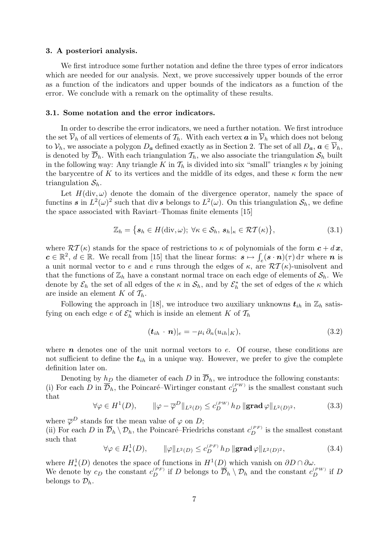#### 3. A posteriori analysis.

We first introduce some further notation and define the three types of error indicators which are needed for our analysis. Next, we prove successively upper bounds of the error as a function of the indicators and upper bounds of the indicators as a function of the error. We conclude with a remark on the optimality of these results.

#### 3.1. Some notation and the error indicators.

In order to describe the error indicators, we need a further notation. We first introduce the set  $\overline{\mathcal{V}}_h$  of all vertices of elements of  $\mathcal{T}_h$ . With each vertex  $\boldsymbol{a}$  in  $\overline{\mathcal{V}}_h$  which does not belong to  $V_h$ , we associate a polygon  $D_a$  defined exactly as in Section 2. The set of all  $D_a$ ,  $a \in \overline{V}_h$ , is denoted by  $\overline{\mathcal{D}}_h$ . With each triangulation  $\mathcal{T}_h$ , we also associate the triangulation  $\mathcal{S}_h$  built in the following way: Any triangle K in  $\mathcal{T}_h$  is divided into six "small" triangles  $\kappa$  by joining the barycentre of K to its vertices and the middle of its edges, and these  $\kappa$  form the new triangulation  $S_h$ .

Let  $H(\text{div}, \omega)$  denote the domain of the divergence operator, namely the space of functins s in  $L^2(\omega)^2$  such that div s belongs to  $L^2(\omega)$ . On this triangulation  $\mathcal{S}_h$ , we define the space associated with Raviart–Thomas finite elements [15]

$$
\mathbb{Z}_h = \{ \mathbf{s}_h \in H(\text{div}, \omega); \ \forall \kappa \in \mathcal{S}_h, \, \mathbf{s}_h|_{\kappa} \in \mathcal{RT}(\kappa) \},\tag{3.1}
$$

where  $\mathcal{RT}(\kappa)$  stands for the space of restrictions to  $\kappa$  of polynomials of the form  $c + dx$ ,  $c \in \mathbb{R}^2$ ,  $d \in \mathbb{R}$ . We recall from [15] that the linear forms:  $s \mapsto \int_e (s \cdot n)(\tau) d\tau$  where n is a unit normal vector to e and e runs through the edges of  $\kappa$ , are  $\mathcal{RT}(\kappa)$ -unisolvent and that the functions of  $\mathbb{Z}_h$  have a constant normal trace on each edge of elements of  $\mathcal{S}_h$ . We denote by  $\mathcal{E}_h$  the set of all edges of the  $\kappa$  in  $\mathcal{S}_h$ , and by  $\mathcal{E}_h^*$  the set of edges of the  $\kappa$  which are inside an element K of  $\mathcal{T}_h$ .

Following the approach in [18], we introduce two auxiliary unknowns  $t_{ih}$  in  $\mathbb{Z}_h$  satisfying on each edge  $e$  of  $\mathcal{E}_h^*$  which is inside an element K of  $\mathcal{T}_h$ 

$$
(\boldsymbol{t}_{ih} \cdot \boldsymbol{n})|_e = -\mu_i \, \partial_n (u_{ih}|_K), \tag{3.2}
$$

where  $n$  denotes one of the unit normal vectors to  $e$ . Of course, these conditions are not sufficient to define the  $t_{ih}$  in a unique way. However, we prefer to give the complete definition later on.

Denoting by  $h_D$  the diameter of each D in  $\overline{\mathcal{D}}_h$ , we introduce the following constants: (i) For each D in  $\overline{\mathcal{D}}_h$ , the Poincaré–Wirtinger constant  $c_D^{(PW)}$  is the smallest constant such that

$$
\forall \varphi \in H^{1}(D), \qquad \|\varphi - \overline{\varphi}^{D}\|_{L^{2}(D)} \leq c_{D}^{(PW)} h_{D} \|\mathbf{grad}\,\varphi\|_{L^{2}(D)^{2}}, \tag{3.3}
$$

where  $\overline{\varphi}^D$  stands for the mean value of  $\varphi$  on D; (ii) For each D in  $\overline{\mathcal{D}}_h \setminus \mathcal{D}_h$ , the Poincaré–Friedrichs constant  $c_D^{(PF)}$  is the smallest constant such that

$$
\forall \varphi \in H^1_*(D), \qquad \|\varphi\|_{L^2(D)} \le c_D^{(PF)} h_D \|\mathbf{grad}\,\varphi\|_{L^2(D)^2},\tag{3.4}
$$

where  $H^1_*(D)$  denotes the space of functions in  $H^1(D)$  which vanish on  $\partial D \cap \partial \omega$ . We denote by  $c_D$  the constant  $c_D^{(PF)}$  if D belongs to  $\overline{\mathcal{D}}_h \setminus \mathcal{D}_h$  and the constant  $c_D^{(PW)}$  if D belongs to  $\mathcal{D}_h$ .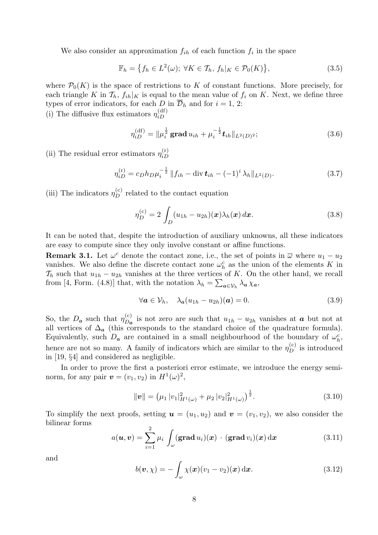We also consider an approximation  $f_{ih}$  of each function  $f_i$  in the space

$$
\mathbb{F}_h = \left\{ f_h \in L^2(\omega); \ \forall K \in \mathcal{T}_h, \ f_h|_K \in \mathcal{P}_0(K) \right\},\tag{3.5}
$$

where  $\mathcal{P}_0(K)$  is the space of restrictions to K of constant functions. More precisely, for each triangle K in  $\mathcal{T}_h$ ,  $f_{ih}|_K$  is equal to the mean value of  $f_i$  on K. Next, we define three types of error indicators, for each D in  $\overline{\mathcal{D}}_h$  and for  $i = 1, 2$ :

(i) The diffusive flux estimators  $\eta_{iD}^{\text{(df)}}$ iD

$$
\eta_{iD}^{(\mathrm{df})} = \|\mu_i^{\frac{1}{2}} \mathbf{grad} \, u_{ih} + \mu_i^{-\frac{1}{2}} \mathbf{t}_{ih} \|_{L^2(D)^2};\tag{3.6}
$$

(ii) The residual error estimators  $\eta_{iD}^{(r)}$ iD

$$
\eta_{iD}^{(r)} = c_D h_D \mu_i^{-\frac{1}{2}} \|f_{ih} - \text{div } \mathbf{t}_{ih} - (-1)^i \lambda_h \|_{L^2(D)}.
$$
 (3.7)

(iii) The indicators  $\eta_D^{(c)}$  related to the contact equation

$$
\eta_D^{(c)} = 2 \int_D (u_{1h} - u_{2h})(x) \lambda_h(x) dx.
$$
 (3.8)

It can be noted that, despite the introduction of auxiliary unknowns, all these indicators are easy to compute since they only involve constant or affine functions.

**Remark 3.1.** Let  $\omega^c$  denote the contact zone, i.e., the set of points in  $\overline{\omega}$  where  $u_1 - u_2$ vanishes. We also define the discrete contact zone  $\omega_h^c$  as the union of the elements K in  $\mathcal{T}_h$  such that  $u_{1h} - u_{2h}$  vanishes at the three vertices of K. On the other hand, we recall from [4, Form. (4.8)] that, with the notation  $\lambda_h = \sum_{a \in \mathcal{V}_h} \lambda_a \chi_a$ ,

$$
\forall \mathbf{a} \in \mathcal{V}_h, \quad \lambda_{\mathbf{a}} (u_{1h} - u_{2h})(\mathbf{a}) = 0. \tag{3.9}
$$

So, the  $D_a$  such that  $\eta_{D_a}^{(c)}$  $\mathcal{L}_{Da}^{(c)}$  is not zero are such that  $u_{1h} - u_{2h}$  vanishes at  $\boldsymbol{a}$  but not at all vertices of  $\Delta_a$  (this corresponds to the standard choice of the quadrature formula). Equivalently, such  $D_a$  are contained in a small neighbourhood of the boundary of  $\omega_h^c$ , hence are not so many. A family of indicators which are similar to the  $\eta_D^{(c)}$  is introduced in [19, §4] and considered as negligible.

In order to prove the first a posteriori error estimate, we introduce the energy seminorm, for any pair  $\mathbf{v} = (v_1, v_2)$  in  $H^1(\omega)^2$ ,

$$
\|\mathbf{v}\| = \left(\mu_1 \left| v_1 \right|_{H^1(\omega)}^2 + \mu_2 \left| v_2 \right|_{H^1(\omega)}^2 \right)^{\frac{1}{2}}.
$$
\n(3.10)

To simplify the next proofs, setting  $u = (u_1, u_2)$  and  $v = (v_1, v_2)$ , we also consider the bilinear forms

$$
a(\boldsymbol{u}, \boldsymbol{v}) = \sum_{i=1}^{2} \mu_i \int_{\omega} (\mathbf{grad} \, u_i)(\boldsymbol{x}) \cdot (\mathbf{grad} \, v_i)(\boldsymbol{x}) \, \mathrm{d}\boldsymbol{x} \tag{3.11}
$$

and

$$
b(\boldsymbol{v}, \chi) = -\int_{\omega} \chi(\boldsymbol{x}) (v_1 - v_2)(\boldsymbol{x}) \, \mathrm{d}\boldsymbol{x}.
$$
 (3.12)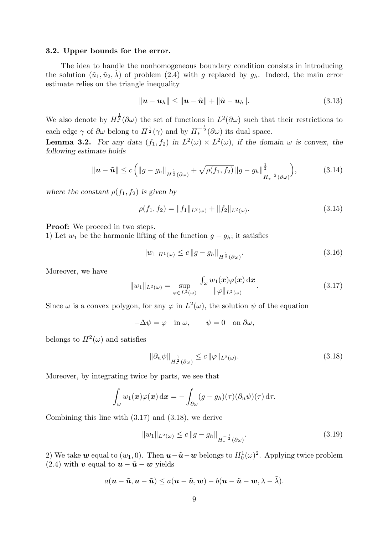#### 3.2. Upper bounds for the error.

The idea to handle the nonhomogeneous boundary condition consists in introducing the solution  $(\tilde{u}_1, \tilde{u}_2, \lambda)$  of problem (2.4) with g replaced by  $g_h$ . Indeed, the main error estimate relies on the triangle inequality

$$
\|\boldsymbol{u}-\boldsymbol{u}_h\| \le \|\boldsymbol{u}-\tilde{\boldsymbol{u}}\| + \|\tilde{\boldsymbol{u}}-\boldsymbol{u}_h\|.
$$
 (3.13)

We also denote by  $H_*^{\frac{1}{2}}(\partial\omega)$  the set of functions in  $L^2(\partial\omega)$  such that their restrictions to each edge  $\gamma$  of  $\partial\omega$  belong to  $H^{\frac{1}{2}}(\gamma)$  and by  $H_*^{-\frac{1}{2}}(\partial\omega)$  its dual space.

**Lemma 3.2.** For any data  $(f_1, f_2)$  in  $L^2(\omega) \times L^2(\omega)$ , if the domain  $\omega$  is convex, the following estimate holds

$$
\|\boldsymbol{u} - \tilde{\boldsymbol{u}}\| \le c \left( \|g - g_h\|_{H^{\frac{1}{2}}(\partial \omega)} + \sqrt{\rho(f_1, f_2)} \|g - g_h\|_{H^{-\frac{1}{2}}_*(\partial \omega)}^{\frac{1}{2}} \right),\tag{3.14}
$$

where the constant  $\rho(f_1, f_2)$  is given by

$$
\rho(f_1, f_2) = ||f_1||_{L^2(\omega)} + ||f_2||_{L^2(\omega)}.
$$
\n(3.15)

Proof: We proceed in two steps.

1) Let  $w_1$  be the harmonic lifting of the function  $g - g_h$ ; it satisfies

$$
|w_1|_{H^1(\omega)} \le c \|g - g_h\|_{H^{\frac{1}{2}}(\partial \omega)}.
$$
\n(3.16)

Moreover, we have

$$
||w_1||_{L^2(\omega)} = \sup_{\varphi \in L^2(\omega)} \frac{\int_{\omega} w_1(\boldsymbol{x}) \varphi(\boldsymbol{x}) \, d\boldsymbol{x}}{||\varphi||_{L^2(\omega)}}.
$$
(3.17)

Since  $\omega$  is a convex polygon, for any  $\varphi$  in  $L^2(\omega)$ , the solution  $\psi$  of the equation

$$
-\Delta \psi = \varphi \quad \text{in } \omega, \qquad \psi = 0 \quad \text{on } \partial \omega,
$$

belongs to  $H^2(\omega)$  and satisfies

$$
\|\partial_n \psi\|_{H_*^{\frac{1}{2}}(\partial \omega)} \le c \|\varphi\|_{L^2(\omega)}.
$$
\n(3.18)

Moreover, by integrating twice by parts, we see that

$$
\int_{\omega} w_1(\boldsymbol{x}) \varphi(\boldsymbol{x}) \, \mathrm{d}\boldsymbol{x} = - \int_{\partial \omega} (g - g_h)(\tau) (\partial_n \psi)(\tau) \, \mathrm{d}\tau.
$$

Combining this line with (3.17) and (3.18), we derive

$$
||w_1||_{L^2(\omega)} \le c ||g - g_h||_{H_*^{-\frac{1}{2}}(\partial \omega)}.
$$
\n(3.19)

2) We take  $w$  equal to  $(w_1, 0)$ . Then  $u - \tilde{u} - w$  belongs to  $H_0^1(\omega)^2$ . Applying twice problem (2.4) with v equal to  $u - \tilde{u} - w$  yields

$$
a(\boldsymbol{u}-\tilde{\boldsymbol{u}},\boldsymbol{u}-\tilde{\boldsymbol{u}})\leq a(\boldsymbol{u}-\tilde{\boldsymbol{u}},\boldsymbol{w})-b(\boldsymbol{u}-\tilde{\boldsymbol{u}}-\boldsymbol{w},\lambda-\tilde{\lambda}).
$$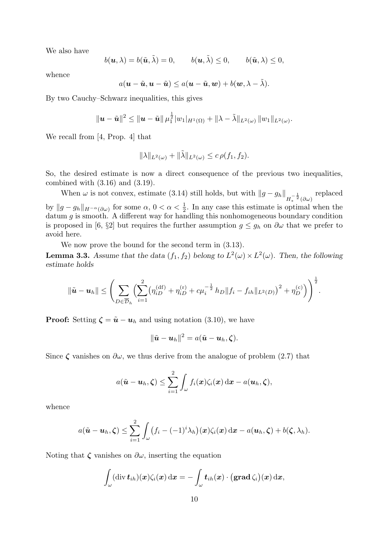We also have

$$
b(\mathbf{u},\lambda)=b(\tilde{\mathbf{u}},\tilde{\lambda})=0, \qquad b(\mathbf{u},\tilde{\lambda})\leq 0, \qquad b(\tilde{\mathbf{u}},\lambda)\leq 0,
$$

whence

$$
a(\boldsymbol{u}-\tilde{\boldsymbol{u}},\boldsymbol{u}-\tilde{\boldsymbol{u}})\leq a(\boldsymbol{u}-\tilde{\boldsymbol{u}},\boldsymbol{w})+b(\boldsymbol{w},\lambda-\tilde{\lambda}).
$$

By two Cauchy–Schwarz inequalities, this gives

$$
\|\bm{u}-\tilde{\bm{u}}\|^2 \leq \|\bm{u}-\tilde{\bm{u}}\| \mu_1^{\frac{1}{2}}|w_1|_{H^1(\Omega)} + \|\lambda-\tilde{\lambda}\|_{L^2(\omega)} \|w_1\|_{L^2(\omega)}.
$$

We recall from [4, Prop. 4] that

$$
\|\lambda\|_{L^2(\omega)} + \|\tilde{\lambda}\|_{L^2(\omega)} \le c \,\rho(f_1, f_2).
$$

So, the desired estimate is now a direct consequence of the previous two inequalities, combined with  $(3.16)$  and  $(3.19)$ .

When  $\omega$  is not convex, estimate (3.14) still holds, but with  $||g - g_h||_{H_*^{-\frac{1}{2}}(\partial \omega)}$ replaced by  $||g - g_h||_{H^{-\alpha}(\partial \omega)}$  for some  $\alpha, 0 < \alpha < \frac{1}{2}$ . In any case this estimate is optimal when the datum  $g$  is smooth. A different way for handling this nonhomogeneous boundary condition is proposed in [6, §2] but requires the further assumption  $g \leq g_h$  on  $\partial \omega$  that we prefer to avoid here.

We now prove the bound for the second term in (3.13).

**Lemma 3.3.** Assume that the data  $(f_1, f_2)$  belong to  $L^2(\omega) \times L^2(\omega)$ . Then, the following estimate holds

$$
\|\tilde{\boldsymbol{u}}-\boldsymbol{u}_h\| \leq \left(\sum_{D \in \overline{\mathcal{D}}_h} \Big(\sum_{i=1}^2 \big(\eta_{iD}^{(\mathrm{df})} + \eta_{iD}^{(\mathrm{r})} + c\mu_i^{-\frac{1}{2}} h_D \|f_i - f_{ih}\|_{L^2(D)}\big)^2 + \eta_D^{(\mathrm{c})}\right)^{\frac{1}{2}}.
$$

**Proof:** Setting  $\boldsymbol{\zeta} = \tilde{\boldsymbol{u}} - \boldsymbol{u}_h$  and using notation (3.10), we have

$$
\|\tilde{\boldsymbol{u}}-\boldsymbol{u}_h\|^2=a(\tilde{\boldsymbol{u}}-\boldsymbol{u}_h,\boldsymbol{\zeta}).
$$

Since  $\zeta$  vanishes on  $\partial \omega$ , we thus derive from the analogue of problem (2.7) that

$$
a(\tilde{\boldsymbol{u}}-\boldsymbol{u}_h,\boldsymbol{\zeta})\leq \sum_{i=1}^2\int_{\omega}f_i(\boldsymbol{x})\zeta_i(\boldsymbol{x})\,\mathrm{d}\boldsymbol{x}-a(\boldsymbol{u}_h,\boldsymbol{\zeta}),
$$

whence

$$
a(\tilde{\boldsymbol{u}}-\boldsymbol{u}_h,\boldsymbol{\zeta})\leq \sum_{i=1}^2\int_{\omega}\big(f_i-(-1)^i\lambda_h\big)(\boldsymbol{x})\zeta_i(\boldsymbol{x})\,\mathrm{d}\boldsymbol{x}-a(\boldsymbol{u}_h,\boldsymbol{\zeta})+b(\boldsymbol{\zeta},\lambda_h).
$$

Noting that  $\zeta$  vanishes on  $\partial \omega$ , inserting the equation

$$
\int_{\omega} (\text{div } \boldsymbol{t}_{ih})(\boldsymbol{x}) \zeta_i(\boldsymbol{x}) \,d\boldsymbol{x} = - \int_{\omega} \boldsymbol{t}_{ih}(\boldsymbol{x}) \cdot (\boldsymbol{\text{grad }} \zeta_i)(\boldsymbol{x}) \,d\boldsymbol{x},
$$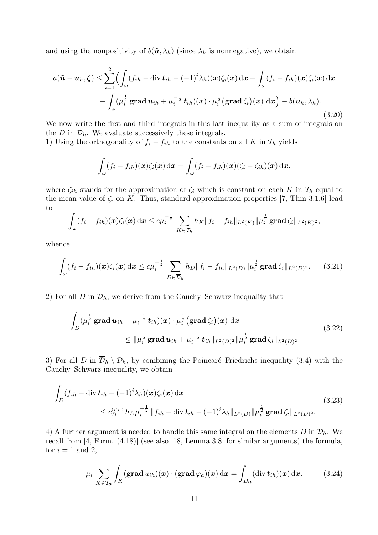and using the nonpositivity of  $b(\tilde{\boldsymbol{u}}, \lambda_h)$  (since  $\lambda_h$  is nonnegative), we obtain

$$
a(\tilde{\boldsymbol{u}} - \boldsymbol{u}_h, \boldsymbol{\zeta}) \leq \sum_{i=1}^2 \Biggl( \int_{\omega} (f_{ih} - \text{div } \boldsymbol{t}_{ih} - (-1)^i \lambda_h)(\boldsymbol{x}) \zeta_i(\boldsymbol{x}) \, d\boldsymbol{x} + \int_{\omega} (f_i - f_{ih})(\boldsymbol{x}) \zeta_i(\boldsymbol{x}) \, d\boldsymbol{x} - \int_{\omega} (\mu_i^{\frac{1}{2}} \operatorname{grad } \boldsymbol{u}_{ih} + \mu_i^{-\frac{1}{2}} \boldsymbol{t}_{ih})(\boldsymbol{x}) \cdot \mu_i^{\frac{1}{2}} (\operatorname{grad } \zeta_i)(\boldsymbol{x}) \, d\boldsymbol{x} \Biggr) - b(\boldsymbol{u}_h, \lambda_h).
$$
\n(3.20)

We now write the first and third integrals in this last inequality as a sum of integrals on the D in  $\overline{\mathcal{D}}_h$ . We evaluate successively these integrals.

1) Using the orthogonality of  $f_i - f_{ih}$  to the constants on all K in  $\mathcal{T}_h$  yields

$$
\int_{\omega} (f_i - f_{ih})(\boldsymbol{x}) \zeta_i(\boldsymbol{x}) \,d\boldsymbol{x} = \int_{\omega} (f_i - f_{ih})(\boldsymbol{x}) (\zeta_i - \zeta_{ih})(\boldsymbol{x}) \,d\boldsymbol{x},
$$

where  $\zeta_{ih}$  stands for the approximation of  $\zeta_i$  which is constant on each K in  $\mathcal{T}_h$  equal to the mean value of  $\zeta_i$  on K. Thus, standard approximation properties [7, Thm 3.1.6] lead to

$$
\int_{\omega} (f_i - f_{ih})(\bm{x}) \zeta_i(\bm{x}) \, \mathrm{d} \bm{x} \leq c \mu_i^{-\frac{1}{2}} \sum_{K \in \mathcal{T}_h} h_K \|f_i - f_{ih}\|_{L^2(K)} \|\mu_i^{\frac{1}{2}} \mathbf{grad} \,\zeta_i\|_{L^2(K)^2},
$$

whence

$$
\int_{\omega} (f_i - f_{ih})(\mathbf{x}) \zeta_i(\mathbf{x}) d\mathbf{x} \le c \mu_i^{-\frac{1}{2}} \sum_{D \in \overline{\mathcal{D}}_h} h_D \|f_i - f_{ih}\|_{L^2(D)} \|\mu_i^{\frac{1}{2}} \mathbf{grad} \zeta_i\|_{L^2(D)^2}.
$$
 (3.21)

2) For all D in  $\overline{\mathcal{D}}_h$ , we derive from the Cauchy–Schwarz inequality that

$$
\int_{D} (\mu_i^{\frac{1}{2}} \mathbf{grad} \, u_{ih} + \mu_i^{-\frac{1}{2}} \, t_{ih})(\mathbf{x}) \cdot \mu_i^{\frac{1}{2}} (\mathbf{grad} \, \zeta_i)(\mathbf{x}) \, d\mathbf{x} \n\leq \|\mu_i^{\frac{1}{2}} \mathbf{grad} \, u_{ih} + \mu_i^{-\frac{1}{2}} \, t_{ih}\|_{L^2(D)^2} \|\mu_i^{\frac{1}{2}} \mathbf{grad} \, \zeta_i\|_{L^2(D)^2}.
$$
\n(3.22)

3) For all D in  $\overline{\mathcal{D}}_h \setminus \mathcal{D}_h$ , by combining the Poincaré–Friedrichs inequality (3.4) with the Cauchy–Schwarz inequality, we obtain

$$
\int_{D} (f_{ih} - \text{div } \mathbf{t}_{ih} - (-1)^{i} \lambda_{h})(\mathbf{x}) \zeta_{i}(\mathbf{x}) d\mathbf{x} \n\leq c_{D}^{(PF)} h_{D} \mu_{i}^{-\frac{1}{2}} \|f_{ih} - \text{div } \mathbf{t}_{ih} - (-1)^{i} \lambda_{h} \|_{L^{2}(D)} \| \mu_{i}^{\frac{1}{2}} \mathbf{grad } \zeta_{i} \|_{L^{2}(D)^{2}}.
$$
\n(3.23)

4) A further argument is needed to handle this same integral on the elements D in  $\mathcal{D}_h$ . We recall from [4, Form. (4.18)] (see also [18, Lemma 3.8] for similar arguments) the formula, for  $i = 1$  and 2,

$$
\mu_i \sum_{K \in \mathcal{T}_{\mathbf{a}}} \int_K (\mathbf{grad} \, u_{ih})(\mathbf{x}) \cdot (\mathbf{grad} \, \varphi_{\mathbf{a}})(\mathbf{x}) \, \mathrm{d}\mathbf{x} = \int_{D_{\mathbf{a}}} (\mathrm{div} \, \mathbf{t}_{ih})(\mathbf{x}) \, \mathrm{d}\mathbf{x}.
$$
 (3.24)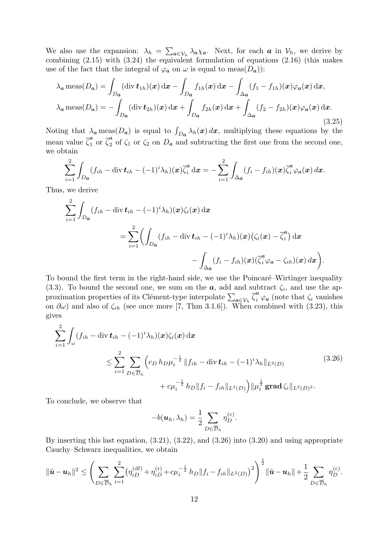We also use the expansion:  $\lambda_h = \sum_{a \in \mathcal{V}_h} \lambda_a \chi_a$ . Next, for each a in  $\mathcal{V}_h$ , we derive by combining (2.15) with (3.24) the equivalent formulation of equations (2.16) (this makes use of the fact that the integral of  $\varphi_a$  on  $\omega$  is equal to meas( $D_a$ )):

$$
\lambda_a \operatorname{meas}(D_a) = \int_{D_a} (\operatorname{div} \mathbf{t}_{1h})(\mathbf{x}) \, d\mathbf{x} - \int_{D_a} f_{1h}(\mathbf{x}) \, d\mathbf{x} - \int_{\Delta_a} (f_1 - f_{1h})(\mathbf{x}) \varphi_a(\mathbf{x}) \, d\mathbf{x},
$$

$$
\lambda_a \operatorname{meas}(D_a) = -\int_{D_a} (\operatorname{div} \mathbf{t}_{2h})(\mathbf{x}) \, d\mathbf{x} + \int_{D_a} f_{2h}(\mathbf{x}) \, d\mathbf{x} + \int_{\Delta_a} (f_2 - f_{2h})(\mathbf{x}) \varphi_a(\mathbf{x}) \, d\mathbf{x}.
$$
(3.25)

Noting that  $\lambda_a$  meas( $D_a$ ) is equal to  $\int_{D_a} \lambda_h(x) dx$ , multiplying these equations by the mean value  $\overline{\zeta}_1^a$  $\frac{a}{1}$  or  $\overline{\zeta}_2^a$  $\frac{a}{2}$  of  $\zeta_1$  or  $\zeta_2$  on  $D_a$  and subtracting the first one from the second one, we obtain

$$
\sum_{i=1}^2 \int_{D_{\boldsymbol{a}}} (f_{ih} - \operatorname{div} \boldsymbol{t}_{ih} - (-1)^i \lambda_h)(\boldsymbol{x}) \overline{\zeta}_i^{\boldsymbol{a}} \, \mathrm{d} \boldsymbol{x} = - \sum_{i=1}^2 \int_{\Delta_{\boldsymbol{a}}} (f_i - f_{ih})(\boldsymbol{x}) \overline{\zeta}_i^{\boldsymbol{a}} \varphi_{\boldsymbol{a}}(\boldsymbol{x}) \, \mathrm{d} \boldsymbol{x}.
$$

Thus, we derive

$$
\sum_{i=1}^{2} \int_{D_{\boldsymbol{a}}} (f_{ih} - \operatorname{div} \boldsymbol{t}_{ih} - (-1)^{i} \lambda_{h})(\boldsymbol{x}) \zeta_{i}(\boldsymbol{x}) \, d\boldsymbol{x} \n= \sum_{i=1}^{2} \left( \int_{D_{\boldsymbol{a}}} (f_{ih} - \operatorname{div} \boldsymbol{t}_{ih} - (-1)^{i} \lambda_{h})(\boldsymbol{x}) (\zeta_{i}(\boldsymbol{x}) - \overline{\zeta}_{i}^{a}) \, d\boldsymbol{x} \right. \n- \int_{\Delta_{\boldsymbol{a}}} (f_{i} - f_{ih})(\boldsymbol{x}) (\overline{\zeta}_{i}^{a} \varphi_{\boldsymbol{a}} - \zeta_{ih})(\boldsymbol{x}) \, d\boldsymbol{x} \right).
$$

To bound the first term in the right-hand side, we use the Poincaré–Wirtinger inequality (3.3). To bound the second one, we sum on the  $a$ , add and subtract  $\zeta_i$ , and use the approximation properties of its Clément-type interpolate  $\sum_{a\in\mathcal{V}_h} \overline{\zeta}_i^a \varphi_a$  (note that  $\zeta_i$  vanishes on  $\partial\omega$ ) and also of  $\zeta_{ih}$  (see once more [7, Thm 3.1.6]). When combined with (3.23), this gives

$$
\sum_{i=1}^{2} \int_{\omega} (f_{ih} - \text{div } \mathbf{t}_{ih} - (-1)^{i} \lambda_{h})(\mathbf{x}) \zeta_{i}(\mathbf{x}) d\mathbf{x} \n\leq \sum_{i=1}^{2} \sum_{D \in \overline{\mathcal{D}}_{h}} \left( c_{D} h_{D} \mu_{i}^{-\frac{1}{2}} \| f_{ih} - \text{div } \mathbf{t}_{ih} - (-1)^{i} \lambda_{h} \|_{L^{2}(D)} \right. \n+ c \mu_{i}^{-\frac{1}{2}} h_{D} \| f_{i} - f_{ih} \|_{L^{2}(D)} \Big) \| \mu_{i}^{\frac{1}{2}} \mathbf{grad } \zeta_{i} \|_{L^{2}(D)^{2}}.
$$
\n(3.26)

To conclude, we observe that

$$
-b(\boldsymbol{u}_h, \lambda_h) = \frac{1}{2} \sum_{D \in \overline{\mathcal{D}}_h} \eta_D^{(c)}.
$$

By inserting this last equation, (3.21), (3.22), and (3.26) into (3.20) and using appropriate Cauchy–Schwarz inequalities, we obtain

$$
\|\tilde{\mathbf{u}} - \mathbf{u}_h\|^2 \leq \left(\sum_{D \in \overline{\mathcal{D}}_h} \sum_{i=1}^2 \left(\eta_{iD}^{(\mathrm{df})} + \eta_{iD}^{(\mathrm{r})} + c\mu_i^{-\frac{1}{2}} h_D \|f_i - f_{ih}\|_{L^2(D)}\right)^2\right)^{\frac{1}{2}} \|\tilde{\mathbf{u}} - \mathbf{u}_h\| + \frac{1}{2} \sum_{D \in \overline{\mathcal{D}}_h} \eta_D^{(\mathrm{c})}.
$$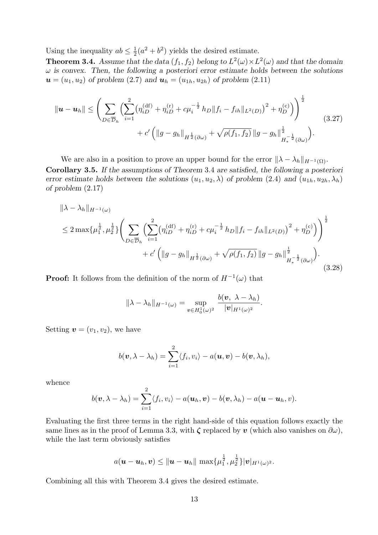Using the inequality  $ab \leq \frac{1}{2}$  $\frac{1}{2}(a^2 + b^2)$  yields the desired estimate.

**Theorem 3.4.** Assume that the data  $(f_1, f_2)$  belong to  $L^2(\omega) \times L^2(\omega)$  and that the domain  $\omega$  is convex. Then, the following a posteriori error estimate holds between the solutions  $u = (u_1, u_2)$  of problem (2.7) and  $u_h = (u_{1h}, u_{2h})$  of problem (2.11)

$$
\|\boldsymbol{u} - \boldsymbol{u}_h\| \leq \left( \sum_{D \in \overline{\mathcal{D}}_h} \left( \sum_{i=1}^2 \left( \eta_{iD}^{(df)} + \eta_{iD}^{(r)} + c \mu_i^{-\frac{1}{2}} h_D \| f_i - f_{ih} \|_{L^2(D)} \right)^2 + \eta_D^{(c)} \right) \right)^{\frac{1}{2}} + c' \left( \|g - g_h\|_{H^{\frac{1}{2}}(\partial \omega)} + \sqrt{\rho(f_1, f_2)} \|g - g_h\|_{H^{-\frac{1}{2}}_*(\partial \omega)}^{\frac{1}{2}} \right).
$$
\n(3.27)

We are also in a position to prove an upper bound for the error  $\|\lambda - \lambda_h\|_{H^{-1}(\Omega)}$ . Corollary 3.5. If the assumptions of Theorem 3.4 are satisfied, the following a posteriori error estimate holds between the solutions  $(u_1, u_2, \lambda)$  of problem  $(2.4)$  and  $(u_{1h}, u_{2h}, \lambda_h)$ of problem (2.17)

$$
\|\lambda - \lambda_h\|_{H^{-1}(\omega)}
$$
  
\n
$$
\leq 2 \max \{ \mu_1^{\frac{1}{2}}, \mu_2^{\frac{1}{2}} \} \Bigg( \sum_{D \in \overline{\mathcal{D}}_h} \Big( \sum_{i=1}^2 \big( \eta_{iD}^{(df)} + \eta_{iD}^{(r)} + c \mu_i^{-\frac{1}{2}} h_D \| f_i - f_{ih} \|_{L^2(D)} \Big)^2 + \eta_D^{(c)} \Big) \Bigg)^{\frac{1}{2}}
$$
  
\n
$$
+ c' \left( \| g - g_h \|_{H^{\frac{1}{2}}(\partial \omega)} + \sqrt{\rho(f_1, f_2)} \| g - g_h \|_{H^{-\frac{1}{2}}(\partial \omega)}^{\frac{1}{2}} \right).
$$
\n(3.28)

**Proof:** It follows from the definition of the norm of  $H^{-1}(\omega)$  that

$$
\|\lambda-\lambda_h\|_{H^{-1}(\omega)}=\sup_{\boldsymbol{v}\in H^1_0(\omega)^2}\frac{b(\boldsymbol{v},\ \lambda-\lambda_h)}{|\boldsymbol{v}|_{H^1(\omega)^2}}.
$$

Setting  $\mathbf{v} = (v_1, v_2)$ , we have

$$
b(\boldsymbol{v}, \lambda - \lambda_h) = \sum_{i=1}^2 \langle f_i, v_i \rangle - a(\boldsymbol{u}, \boldsymbol{v}) - b(\boldsymbol{v}, \lambda_h),
$$

whence

$$
b(\boldsymbol{v}, \lambda - \lambda_h) = \sum_{i=1}^2 \langle f_i, v_i \rangle - a(\boldsymbol{u}_h, \boldsymbol{v}) - b(\boldsymbol{v}, \lambda_h) - a(\boldsymbol{u} - \boldsymbol{u}_h, v).
$$

Evaluating the first three terms in the right hand-side of this equation follows exactly the same lines as in the proof of Lemma 3.3, with  $\zeta$  replaced by v (which also vanishes on  $\partial \omega$ ), while the last term obviously satisfies

$$
a(\boldsymbol{u}-\boldsymbol{u}_h,\boldsymbol{v}) \leq \|\boldsymbol{u}-\boldsymbol{u}_h\| \max\{\mu_1^{\frac{1}{2}},\mu_2^{\frac{1}{2}}\}|\boldsymbol{v}|_{H^1(\omega)^2}.
$$

Combining all this with Theorem 3.4 gives the desired estimate.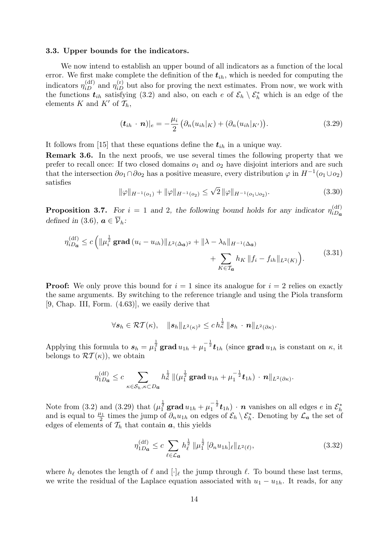#### 3.3. Upper bounds for the indicators.

We now intend to establish an upper bound of all indicators as a function of the local error. We first make complete the definition of the  $t_{ih}$ , which is needed for computing the indicators  $\eta_{iD}^{(df)}$  and  $\eta_{iD}^{(r)}$  but also for proving the next estimates. From now, we work with the functions  $t_{ih}$  satisfying (3.2) and also, on each e of  $\mathcal{E}_h \setminus \mathcal{E}_h^*$  which is an edge of the elements K and K' of  $\mathcal{T}_h$ ,

$$
(\boldsymbol{t}_{ih} \cdot \boldsymbol{n})|_e = -\frac{\mu_i}{2} \left( \partial_n (u_{ih}|_K) + (\partial_n (u_{ih}|_{K'}) \right). \tag{3.29}
$$

It follows from [15] that these equations define the  $t_{ih}$  in a unique way.

Remark 3.6. In the next proofs, we use several times the following property that we prefer to recall once: If two closed domains  $o_1$  and  $o_2$  have disjoint interiors and are such that the intersection  $\partial o_1 \cap \partial o_2$  has a positive measure, every distribution  $\varphi$  in  $H^{-1}(o_1 \cup o_2)$ satisfies √

$$
\|\varphi\|_{H^{-1}(o_1)} + \|\varphi\|_{H^{-1}(o_2)} \le \sqrt{2} \|\varphi\|_{H^{-1}(o_1 \cup o_2)}.
$$
\n(3.30)

**Proposition 3.7.** For  $i = 1$  and 2, the following bound holds for any indicator  $\eta_{iD}^{\text{(df)}}$  $iDa$ defined in (3.6),  $\mathbf{a} \in \overline{\mathcal{V}}_h$ :

$$
\eta_{iD_{\mathbf{a}}}^{(\mathrm{df})} \le c \left( \| \mu_{i}^{\frac{1}{2}} \mathbf{grad}\left(u_{i} - u_{ih}\right) \|_{L^{2}(\Delta_{\mathbf{a}})^{2}} + \| \lambda - \lambda_{h} \|_{H^{-1}(\Delta_{\mathbf{a}})} + \sum_{K \in \mathcal{T}_{\mathbf{a}}} h_{K} \| f_{i} - f_{ih} \|_{L^{2}(K)} \right).
$$
\n(3.31)

**Proof:** We only prove this bound for  $i = 1$  since its analogue for  $i = 2$  relies on exactly the same arguments. By switching to the reference triangle and using the Piola transform [9, Chap. III, Form. (4.63)], we easily derive that

$$
\forall \boldsymbol{s}_h \in \mathcal{RT}(\kappa), \quad \|\boldsymbol{s}_h\|_{L^2(\kappa)^2} \le c\,h^{\frac{1}{2}}_{\kappa}\,\|\boldsymbol{s}_h\,\cdot\,\boldsymbol{n}\|_{L^2(\partial \kappa)}.
$$

Applying this formula to  $s_h = \mu_1^{\frac{1}{2}}$  grad  $u_{1h} + \mu_1^{-\frac{1}{2}} t_{1h}$  (since grad  $u_{1h}$  is constant on  $\kappa$ , it belongs to  $\mathcal{RT}(\kappa)$ , we obtain

$$
\eta_{1D_{\bm{a}}}^{(df)} \leq c \sum_{\kappa \in \mathcal{S}_h, \kappa \subset D_{\bm{a}}} h_{\kappa}^{\frac{1}{2}} \left\| (\mu_1^{\frac{1}{2}} \mathbf{grad} \, u_{1h} + \mu_1^{-\frac{1}{2}} \bm{t}_{1h}) \cdot \bm{n} \right\|_{L^2(\partial \kappa)}.
$$

Note from (3.2) and (3.29) that  $(\mu_1^{\frac{1}{2}} \mathbf{grad} u_{1h} + \mu_1^{-\frac{1}{2}} t_{1h}) \cdot n$  vanishes on all edges  $e$  in  $\mathcal{E}_h^*$ and is equal to  $\frac{\mu_1}{2}$  times the jump of  $\partial_n u_{1h}$  on edges of  $\mathcal{E}_h \setminus \mathcal{E}_h^*$ . Denoting by  $\mathcal{L}_a$  the set of edges of elements of  $\mathcal{T}_h$  that contain  $\boldsymbol{a}$ , this yields

$$
\eta_{1D_{\bm{a}}}^{(df)} \le c \sum_{\ell \in \mathcal{L}_{\bm{a}}} h_{\ell}^{\frac{1}{2}} \|\mu_1^{\frac{1}{2}} [\partial_n u_{1h}]_{\ell} \|_{L^2(\ell)},
$$
\n(3.32)

where  $h_\ell$  denotes the length of  $\ell$  and  $[\cdot]_\ell$  the jump through  $\ell$ . To bound these last terms, we write the residual of the Laplace equation associated with  $u_1 - u_{1h}$ . It reads, for any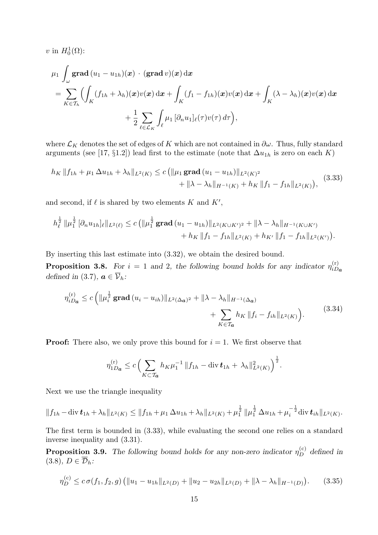v in  $H_0^1(\Omega)$ :

$$
\mu_1 \int_{\omega} \mathbf{grad} \, (u_1 - u_{1h})(\mathbf{x}) \cdot (\mathbf{grad} \, v)(\mathbf{x}) \, d\mathbf{x}
$$
\n
$$
= \sum_{K \in \mathcal{T}_h} \Biggl( \int_K (f_{1h} + \lambda_h)(\mathbf{x}) v(\mathbf{x}) \, d\mathbf{x} + \int_K (f_1 - f_{1h})(\mathbf{x}) v(\mathbf{x}) \, d\mathbf{x} + \int_K (\lambda - \lambda_h)(\mathbf{x}) v(\mathbf{x}) \, d\mathbf{x} + \frac{1}{2} \sum_{\ell \in \mathcal{L}_K} \int_{\ell} \mu_1 \, [\partial_n u_1]_{\ell}(\tau) v(\tau) \, d\tau \Biggr),
$$

where  $\mathcal{L}_K$  denotes the set of edges of K which are not contained in  $\partial \omega$ . Thus, fully standard arguments (see [17, §1.2]) lead first to the estimate (note that  $\Delta u_{1h}$  is zero on each K)

$$
h_K \|f_{1h} + \mu_1 \Delta u_{1h} + \lambda_h \|_{L^2(K)} \le c \left( \|\mu_1 \operatorname{grad} (u_1 - u_{1h})\|_{L^2(K)^2} + \|\lambda - \lambda_h\|_{H^{-1}(K)} + h_K \|f_1 - f_{1h}\|_{L^2(K)} \right), \tag{3.33}
$$

and second, if  $\ell$  is shared by two elements K and  $K'$ ,

$$
h_{\ell}^{\frac{1}{2}} \|\mu_1^{\frac{1}{2}} \left[\partial_n u_{1h}\right]_{\ell} \|_{L^2(\ell)} \leq c \left( \|\mu_1^{\frac{1}{2}} \operatorname{grad}\left(u_1 - u_{1h}\right) \|_{L^2(K \cup K')^2} + \|\lambda - \lambda_h\|_{H^{-1}(K \cup K')} + h_K \|\|f_1 - f_{1h}\|_{L^2(K')} \right).
$$

By inserting this last estimate into (3.32), we obtain the desired bound.

**Proposition 3.8.** For  $i = 1$  and 2, the following bound holds for any indicator  $\eta_{iD}^{(r)}$  $iD_{\boldsymbol{a}}$ defined in (3.7),  $\mathbf{a} \in \overline{\mathcal{V}}_h$ :

$$
\eta_{iD_{\mathbf{a}}}^{(r)} \le c \left( \|\mu_{i}^{\frac{1}{2}} \mathbf{grad}\left(u_{i}-u_{ih}\right)\|_{L^{2}(\Delta_{\mathbf{a}})^{2}} + \|\lambda - \lambda_{h}\|_{H^{-1}(\Delta_{\mathbf{a}})} + \sum_{K \in \mathcal{T}_{\mathbf{a}}} h_{K} \|f_{i} - f_{ih}\|_{L^{2}(K)} \right).
$$
\n(3.34)

**Proof:** There also, we only prove this bound for  $i = 1$ . We first observe that

$$
\eta_{1D_{\bm{a}}}^{(r)} \le c \left( \sum_{K \subset \mathcal{T}_{\bm{a}}} h_K \mu_1^{-1} \| f_{1h} - \text{div } \bm{t}_{1h} + \lambda_h \|_{L^2(K)}^2 \right)^{\frac{1}{2}}.
$$

Next we use the triangle inequality

$$
||f_{1h} - \operatorname{div} \boldsymbol{t}_{1h} + \lambda_h||_{L^2(K)} \le ||f_{1h} + \mu_1 \Delta u_{1h} + \lambda_h||_{L^2(K)} + \mu_1^{\frac{1}{2}} ||\mu_1^{\frac{1}{2}} \Delta u_{1h} + \mu_i^{-\frac{1}{2}} \operatorname{div} \boldsymbol{t}_{ih}||_{L^2(K)}.
$$

The first term is bounded in (3.33), while evaluating the second one relies on a standard inverse inequality and (3.31).

**Proposition 3.9.** The following bound holds for any non-zero indicator  $\eta_D^{(c)}$  defined in  $(3.8), D \in \overline{\mathcal{D}}_h$ :

$$
\eta_D^{(c)} \le c \sigma(f_1, f_2, g) \left( \|u_1 - u_{1h}\|_{L^2(D)} + \|u_2 - u_{2h}\|_{L^2(D)} + \|\lambda - \lambda_h\|_{H^{-1}(D)} \right). \tag{3.35}
$$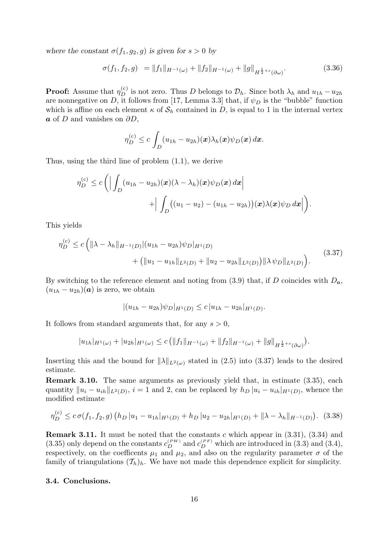where the constant  $\sigma(f_1, g_2, g)$  is given for  $s > 0$  by

$$
\sigma(f_1, f_2, g) = ||f_1||_{H^{-1}(\omega)} + ||f_2||_{H^{-1}(\omega)} + ||g||_{H^{\frac{1}{2}+s}(\partial \omega)}.
$$
\n(3.36)

**Proof:** Assume that  $\eta_D^{(c)}$  is not zero. Thus D belongs to  $\mathcal{D}_h$ . Since both  $\lambda_h$  and  $u_{1h} - u_{2h}$ are nonnegative on D, it follows from [17, Lemma 3.3] that, if  $\psi_D$  is the "bubble" function which is affine on each element  $\kappa$  of  $S_h$  contained in D, is equal to 1 in the internal vertex  $\boldsymbol{a}$  of D and vanishes on  $\partial D$ ,

$$
\eta_D^{(c)} \leq c \int_D (u_{1h} - u_{2h})(\boldsymbol{x}) \lambda_h(\boldsymbol{x}) \psi_D(\boldsymbol{x}) d\boldsymbol{x}.
$$

Thus, using the third line of problem (1.1), we derive

$$
\eta_D^{(c)} \le c \left( \Big| \int_D (u_{1h} - u_{2h})(\mathbf{x}) (\lambda - \lambda_h)(\mathbf{x}) \psi_D(\mathbf{x}) d\mathbf{x} \Big| + \Big| \int_D ((u_1 - u_2) - (u_{1h} - u_{2h}))(\mathbf{x}) \lambda(\mathbf{x}) \psi_D d\mathbf{x} \Big| \right).
$$

This yields

$$
\eta_D^{(c)} \le c \left( \|\lambda - \lambda_h\|_{H^{-1}(D)} |(u_{1h} - u_{2h}) \psi_D|_{H^1(D)} + ( \|u_1 - u_{1h}\|_{L^2(D)} + \|u_2 - u_{2h}\|_{L^2(D)}) \|\lambda \psi_D\|_{L^2(D)} \right).
$$
\n(3.37)

By switching to the reference element and noting from  $(3.9)$  that, if D coincides with  $D_a$ ,  $(u_{1h} - u_{2h})(a)$  is zero, we obtain

$$
|(u_{1h} - u_{2h})\psi_D|_{H^1(D)} \le c |u_{1h} - u_{2h}|_{H^1(D)}.
$$

It follows from standard arguments that, for any  $s > 0$ ,

$$
|u_{1h}|_{H^1(\omega)} + |u_{2h}|_{H^1(\omega)} \le c \left( \|f_1\|_{H^{-1}(\omega)} + \|f_2\|_{H^{-1}(\omega)} + \|g\|_{H^{\frac{1}{2}+s}(\partial\omega)} \right).
$$

Inserting this and the bound for  $\|\lambda\|_{L^2(\omega)}$  stated in (2.5) into (3.37) leads to the desired estimate.

Remark 3.10. The same arguments as previously yield that, in estimate (3.35), each quantity  $||u_i - u_{ih}||_{L^2(D)}$ ,  $i = 1$  and 2, can be replaced by  $h_D |u_i - u_{ih}|_{H^1(D)}$ , whence the modified estimate

$$
\eta_D^{(c)} \le c \sigma(f_1, f_2, g) \left( h_D | u_1 - u_{1h} |_{H^1(D)} + h_D | u_2 - u_{2h} |_{H^1(D)} + ||\lambda - \lambda_h||_{H^{-1}(D)} \right). \tag{3.38}
$$

**Remark 3.11.** It must be noted that the constants c which appear in  $(3.31)$ ,  $(3.34)$  and (3.35) only depend on the constants  $c_D^{(PW)}$  and  $c_D^{(PF)}$  which are introduced in (3.3) and (3.4), respectively, on the coefficents  $\mu_1$  and  $\mu_2$ , and also on the regularity parameter  $\sigma$  of the family of triangulations  $(\mathcal{T}_h)_h$ . We have not made this dependence explicit for simplicity.

# 3.4. Conclusions.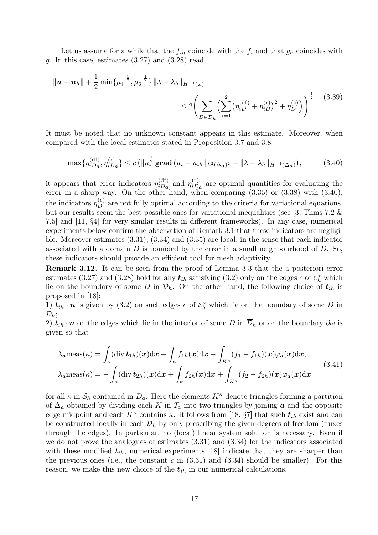Let us assume for a while that the  $f_{ih}$  coincide with the  $f_i$  and that  $g_h$  coincides with g. In this case, estimates (3.27) and (3.28) read

$$
\|\mathbf{u} - \mathbf{u}_h\| + \frac{1}{2} \min\{\mu_1^{-\frac{1}{2}}, \mu_2^{-\frac{1}{2}}\} \|\lambda - \lambda_h\|_{H^{-1}(\omega)}
$$
  
\$\leq 2 \bigg(\sum\_{D \in \overline{\mathcal{D}}\_h} \bigg(\sum\_{i=1}^2 \big(\eta\_{iD}^{(\mathrm{df})} + \eta\_{iD}^{(\mathrm{r})}\big)^2 + \eta\_D^{(\mathrm{c})}\bigg)\bigg)^{\frac{1}{2}}\$}. (3.39)

It must be noted that no unknown constant appears in this estimate. Moreover, when compared with the local estimates stated in Proposition 3.7 and 3.8

$$
\max\{\eta_{iD_{\bm{a}}}^{(\mathrm{df})},\eta_{iD_{\bm{a}}}^{(r)}\} \le c\left(\|\mu_{i}^{\frac{1}{2}}\mathbf{grad}\left(u_{i}-u_{i\hbar}\|_{L^{2}(\Delta_{\bm{a}})^{2}}+\|\lambda-\lambda_{\hbar}\|_{H^{-1}(\Delta_{\bm{a}})}\right),\right. (3.40)
$$

it appears that error indicators  $\eta_{iD_{\alpha}}^{\text{(df)}}$  $\eta_{iD_{a}}^{\text{(df)}}$  and  $\eta_{iD}^{\text{(r)}}$  $i_{iD_a}^{(r)}$  are optimal quantities for evaluating the error in a sharp way. On the other hand, when comparing (3.35) or (3.38) with (3.40), the indicators  $\eta_D^{(c)}$  are not fully optimal according to the criteria for variational equations, but our results seem the best possible ones for variational inequalities (see [3, Thms 7.2  $\&$ 7.5] and [11, §4] for very similar results in different frameworks). In any case, numerical experiments below confirm the observation of Remark 3.1 that these indicators are negligible. Moreover estimates (3.31), (3.34) and (3.35) are local, in the sense that each indicator associated with a domain  $D$  is bounded by the error in a small neighbourhood of  $D$ . So, these indicators should provide an efficient tool for mesh adaptivity.

Remark 3.12. It can be seen from the proof of Lemma 3.3 that the a posteriori error estimates (3.27) and (3.28) hold for any  $t_{ih}$  satisfying (3.2) only on the edges e of  $\mathcal{E}_h^*$  which lie on the boundary of some D in  $\mathcal{D}_h$ . On the other hand, the following choice of  $t_{ih}$  is proposed in [18]:

1)  $t_{ih} \cdot n$  is given by (3.2) on such edges e of  $\mathcal{E}_h^*$  which lie on the boundary of some D in  $\mathcal{D}_h$ ;

2)  $t_{ih} \cdot n$  on the edges which lie in the interior of some D in  $\overline{\mathcal{D}}_h$  or on the boundary  $\partial \omega$  is given so that

$$
\lambda_a \text{meas}(\kappa) = \int_{\kappa} (\text{div } \mathbf{t}_{1h})(\mathbf{x}) \, \mathrm{d}\mathbf{x} - \int_{\kappa} f_{1h}(\mathbf{x}) \, \mathrm{d}\mathbf{x} - \int_{K^{\kappa}} (f_1 - f_{1h})(\mathbf{x}) \varphi_a(\mathbf{x}) \, \mathrm{d}\mathbf{x},
$$
\n
$$
\lambda_a \text{meas}(\kappa) = -\int_{\kappa} (\text{div } \mathbf{t}_{2h})(\mathbf{x}) \, \mathrm{d}\mathbf{x} + \int_{\kappa} f_{2h}(\mathbf{x}) \, \mathrm{d}\mathbf{x} + \int_{K^{\kappa}} (f_2 - f_{2h})(\mathbf{x}) \varphi_a(\mathbf{x}) \, \mathrm{d}\mathbf{x}
$$
\n(3.41)

for all  $\kappa$  in  $\mathcal{S}_h$  contained in  $D_a$ . Here the elements  $K^{\kappa}$  denote triangles forming a partition of  $\Delta_a$  obtained by dividing each K in  $\mathcal{T}_a$  into two triangles by joining a and the opposite edge midpoint and each  $K^{\kappa}$  contains  $\kappa$ . It follows from [18, §7] that such  $t_{ih}$  exist and can be constructed locally in each  $\overline{\mathcal{D}}_h$  by only prescribing the given degrees of freedom (fluxes through the edges). In particular, no (local) linear system solution is necessary. Even if we do not prove the analogues of estimates (3.31) and (3.34) for the indicators associated with these modified  $t_{ih}$ , numerical experiments [18] indicate that they are sharper than the previous ones (i.e., the constant  $c$  in  $(3.31)$  and  $(3.34)$  should be smaller). For this reason, we make this new choice of the  $t_{ih}$  in our numerical calculations.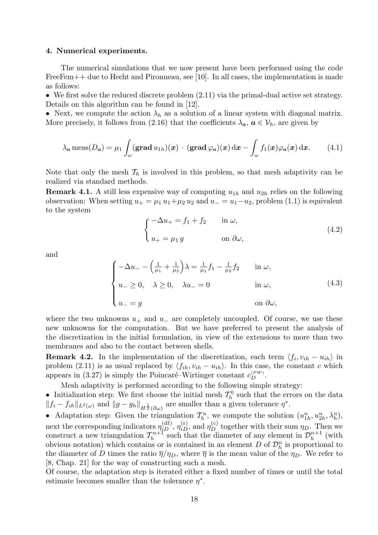#### 4. Numerical experiments.

The numerical simulations that we now present have been performed using the code FreeFem $++$  due to Hecht and Pironneau, see [10]. In all cases, the implementation is made as follows:

• We first solve the reduced discrete problem  $(2.11)$  via the primal-dual active set strategy. Details on this algorithm can be found in [12].

• Next, we compute the action  $\lambda_h$  as a solution of a linear system with diagonal matrix. More precisely, it follows from (2.16) that the coefficients  $\lambda_a, a \in V_h$ , are given by

$$
\lambda_a \operatorname{meas}(D_a) = \mu_1 \int_{\omega} (\operatorname{grad} u_{1h})(x) \cdot (\operatorname{grad} \varphi_a)(x) dx - \int_{\omega} f_1(x) \varphi_a(x) dx. \tag{4.1}
$$

Note that only the mesh  $\mathcal{T}_h$  is involved in this problem, so that mesh adaptivity can be realized via standard methods.

**Remark 4.1.** A still less expensive way of computing  $u_{1h}$  and  $u_{2h}$  relies on the following observation: When setting  $u_+ = \mu_1 u_1 + \mu_2 u_2$  and  $u_- = u_1 - u_2$ , problem (1.1) is equivalent to the system

$$
\begin{cases}\n-\Delta u_+ = f_1 + f_2 & \text{in } \omega, \\
u_+ = \mu_1 g & \text{on } \partial \omega,\n\end{cases}
$$
\n(4.2)

and

$$
\begin{cases}\n-\Delta u_{-} - \left(\frac{1}{\mu_{1}} + \frac{1}{\mu_{2}}\right)\lambda = \frac{1}{\mu_{1}}f_{1} - \frac{1}{\mu_{2}}f_{2} & \text{in } \omega, \\
u_{-} \ge 0, \quad \lambda \ge 0, \quad \lambda u_{-} = 0 & \text{in } \omega, \\
u_{-} = g & \text{on } \partial \omega,\n\end{cases}
$$
\n(4.3)

where the two unknowns  $u_+$  and  $u_-$  are completely uncoupled. Of course, we use these new unknowns for the computation. But we have preferred to present the analysis of the discretization in the initial formulation, in view of the extensions to more than two membranes and also to the contact between shells.

**Remark 4.2.** In the implementation of the discretization, each term  $\langle f_i, v_{ih} - u_{ih} \rangle$  in problem (2.11) is as usual replaced by  $\langle f_{ih}, v_{ih} - u_{ih} \rangle$ . In this case, the constant c which appears in (3.27) is simply the Poincaré–Wirtinger constant  $c_D^{(PW)}$ .

Mesh adaptivity is performed according to the following simple strategy:

• Initialization step: We first choose the initial mesh  $\mathcal{T}_h^0$  such that the errors on the data  $||f_i - f_{ih}||_{L^2(\omega)}$  and  $||g - g_h||_{H^{\frac{1}{2}}(\partial \omega)}$  are smaller than a given tolerance  $\eta^*$ .

• Adaptation step: Given the triangulation  $\mathcal{T}_h^n$ , we compute the solution  $(u_{1h}^n, u_{2h}^n, \lambda_h^n)$ , next the corresponding indicators  $\eta_{iD}^{(df)}$ ,  $\eta_{iD}^{(r)}$ , and  $\eta_{D}^{(c)}$  together with their sum  $\eta_D$ . Then we construct a new triangulation  $\mathcal{T}_h^{n+1}$  $\mathcal{D}_h^{n+1}$  such that the diameter of any element in  $\mathcal{D}_h^{n+1}$  $\binom{n+1}{h}$  (with obvious notation) which contains or is contained in an element D of  $\mathcal{D}_h^n$  is proportional to the diameter of D times the ratio  $\overline{\eta}/\eta_D$ , where  $\overline{\eta}$  is the mean value of the  $\eta_D$ . We refer to [8, Chap. 21] for the way of constructing such a mesh.

Of course, the adaptation step is iterated either a fixed number of times or until the total estimate becomes smaller than the tolerance  $\eta^*$ .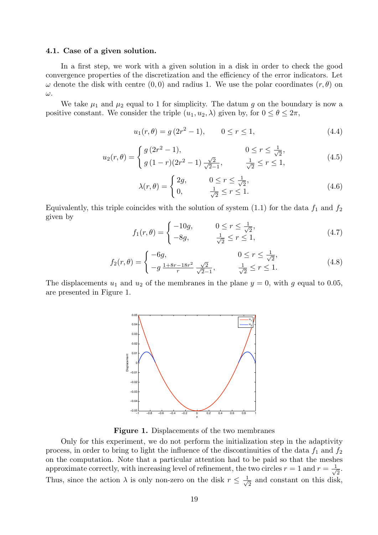## 4.1. Case of a given solution.

In a first step, we work with a given solution in a disk in order to check the good convergence properties of the discretization and the efficiency of the error indicators. Let  $\omega$  denote the disk with centre  $(0,0)$  and radius 1. We use the polar coordinates  $(r, \theta)$  on ω.

We take  $\mu_1$  and  $\mu_2$  equal to 1 for simplicity. The datum g on the boundary is now a positive constant. We consider the triple  $(u_1, u_2, \lambda)$  given by, for  $0 \le \theta \le 2\pi$ ,

$$
u_1(r,\theta) = g(2r^2 - 1), \qquad 0 \le r \le 1,
$$
\n(4.4)

$$
u_2(r,\theta) = \begin{cases} g(2r^2 - 1), & 0 \le r \le \frac{1}{\sqrt{2}}, \\ g(1-r)(2r^2 - 1), & \frac{\sqrt{2}}{\sqrt{2}-1}, & \frac{1}{\sqrt{2}} \le r \le 1, \end{cases}
$$
(4.5)

$$
\lambda(r,\theta) = \begin{cases} 2g, & 0 \le r \le \frac{1}{\sqrt{2}}, \\ 0, & \frac{1}{\sqrt{2}} \le r \le 1. \end{cases}
$$
(4.6)

Equivalently, this triple coincides with the solution of system (1.1) for the data  $f_1$  and  $f_2$ given by

$$
f_1(r,\theta) = \begin{cases} -10g, & 0 \le r \le \frac{1}{\sqrt{2}}, \\ -8g, & \frac{1}{\sqrt{2}} \le r \le 1, \end{cases}
$$
(4.7)

$$
f_2(r,\theta) = \begin{cases} -6g, & 0 \le r \le \frac{1}{\sqrt{2}},\\ -g \frac{1+8r-18r^2}{r} \frac{\sqrt{2}}{\sqrt{2}-1}, & \frac{1}{\sqrt{2}} \le r \le 1. \end{cases}
$$
(4.8)

The displacements  $u_1$  and  $u_2$  of the membranes in the plane  $y = 0$ , with g equal to 0.05, are presented in Figure 1.



Figure 1. Displacements of the two membranes

Only for this experiment, we do not perform the initialization step in the adaptivity process, in order to bring to light the influence of the discontinuities of the data  $f_1$  and  $f_2$ on the computation. Note that a particular attention had to be paid so that the meshes approximate correctly, with increasing level of refinement, the two circles  $r = 1$  and  $r = \frac{1}{\sqrt{2}}$  $\frac{1}{2}$ . Thus, since the action  $\lambda$  is only non-zero on the disk  $r \leq \frac{1}{\sqrt{2}}$  $\frac{1}{2}$  and constant on this disk,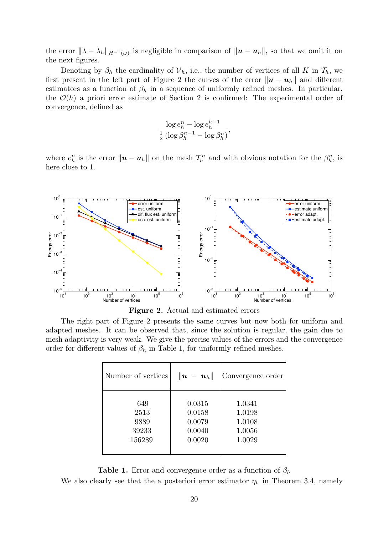the error  $\|\lambda - \lambda_h\|_{H^{-1}(\omega)}$  is negligible in comparison of  $\|\mathbf{u} - \mathbf{u}_h\|$ , so that we omit it on the next figures.

Denoting by  $\beta_h$  the cardinality of  $\overline{\mathcal{V}}_h$ , i.e., the number of vertices of all K in  $\mathcal{T}_h$ , we first present in the left part of Figure 2 the curves of the error  $\|\mathbf{u} - \mathbf{u}_h\|$  and different estimators as a function of  $\beta_h$  in a sequence of uniformly refined meshes. In particular, the  $\mathcal{O}(h)$  a priori error estimate of Section 2 is confirmed: The experimental order of convergence, defined as

$$
\frac{\log e_h^n - \log e_h^{h-1}}{\frac{1}{2} \left( \log \beta_h^{n-1} - \log \beta_h^n \right)},
$$

where  $e_h^n$  is the error  $\|\bm{u}-\bm{u}_h\|$  on the mesh  $\mathcal{T}_h^n$  and with obvious notation for the  $\beta_h^n$ , is here close to 1.



Figure 2. Actual and estimated errors

The right part of Figure 2 presents the same curves but now both for uniform and adapted meshes. It can be observed that, since the solution is regular, the gain due to mesh adaptivity is very weak. We give the precise values of the errors and the convergence order for different values of  $\beta_h$  in Table 1, for uniformly refined meshes.

| Number of vertices | $\ \boldsymbol{u} - \boldsymbol{u}_h\ $ | Convergence order |
|--------------------|-----------------------------------------|-------------------|
| 649                | 0.0315                                  | 1.0341            |
| 2513               | 0.0158                                  | 1.0198            |
| 9889               | 0.0079                                  | 1.0108            |
| 39233              | 0.0040                                  | 1.0056            |
| 156289             | 0.0020                                  | 1.0029            |

**Table 1.** Error and convergence order as a function of  $\beta_h$ 

We also clearly see that the a posteriori error estimator  $\eta_h$  in Theorem 3.4, namely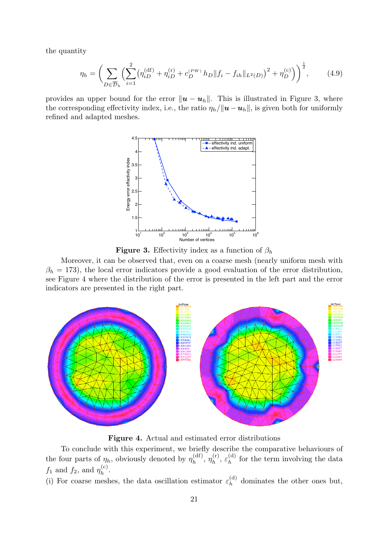the quantity

$$
\eta_h = \left(\sum_{D \in \overline{\mathcal{D}}_h} \left(\sum_{i=1}^2 \left(\eta_{iD}^{(\mathrm{df})} + \eta_{iD}^{(\mathrm{r})} + c_D^{(PW)} h_D \right \| f_i - f_{ih} \|_{L^2(D)}\right)^2 + \eta_D^{(\mathrm{c})}\right)^{\frac{1}{2}},\tag{4.9}
$$

provides an upper bound for the error  $\|\boldsymbol{u} - \boldsymbol{u}_h\|$ . This is illustrated in Figure 3, where the corresponding effectivity index, i.e., the ratio  $\eta_h/||\mathbf{u}-\mathbf{u}_h||$ , is given both for uniformly refined and adapted meshes.



**Figure 3.** Effectivity index as a function of  $\beta_h$ 

Moreover, it can be observed that, even on a coarse mesh (nearly uniform mesh with  $\beta_h = 173$ ), the local error indicators provide a good evaluation of the error distribution, see Figure 4 where the distribution of the error is presented in the left part and the error indicators are presented in the right part.



Figure 4. Actual and estimated error distributions

To conclude with this experiment, we briefly describe the comparative behaviours of the four parts of  $\eta_h$ , obviously denoted by  $\eta_h^{\text{(df)}}$  $\eta_h^{\text{(df)}}, \, \eta_h^{\text{(r)}}$  $\mathcal{E}_h^{({\rm r})},\ \mathcal{E}_h^{({\rm d})}$  $h^{(q)}$  for the term involving the data  $f_1$  and  $f_2$ , and  $\eta_h^{(c)}$  $h^{(c)}$ .

(i) For coarse meshes, the data oscillation estimator  $\varepsilon_h^{(d)}$  $h^{(q)}$  dominates the other ones but,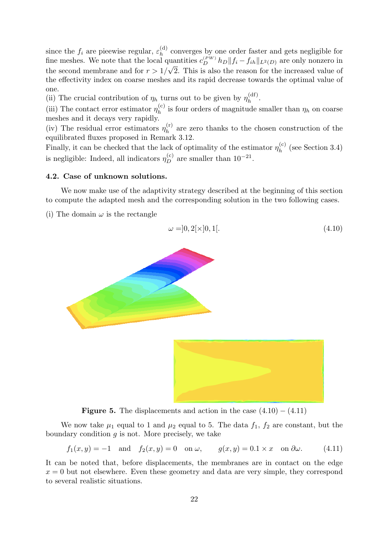since the  $f_i$  are pieewise regular,  $\varepsilon_h^{(d)}$  $\lambda_h^{(q)}$  converges by one order faster and gets negligible for fine meshes. We note that the local quantities  $c_D^{(PW)} h_D || f_i - f_{ih} ||_{L^2(D)}$  are only nonzero in the second membrane and for  $r > 1/\sqrt{2}$ . This is also the reason for the increased value of the effectivity index on coarse meshes and its rapid decrease towards the optimal value of one.

(ii) The crucial contribution of  $\eta_h$  turns out to be given by  $\eta_h^{\text{(df)}}$  $h^{(01)}$ .

(iii) The contact error estimator  $\eta_h^{(c)}$  $h_h^{(c)}$  is four orders of magnitude smaller than  $\eta_h$  on coarse meshes and it decays very rapidly.

(iv) The residual error estimators  $\eta_h^{(r)}$  $h^{(r)}$  are zero thanks to the chosen construction of the equilibrated fluxes proposed in Remark 3.12.

Finally, it can be checked that the lack of optimality of the estimator  $\eta_h^{(c)}$  $h^{(c)}$  (see Section 3.4) is negligible: Indeed, all indicators  $\eta_D^{(c)}$  are smaller than  $10^{-21}$ .

# 4.2. Case of unknown solutions.

We now make use of the adaptivity strategy described at the beginning of this section to compute the adapted mesh and the corresponding solution in the two following cases.

(i) The domain  $\omega$  is the rectangle

$$
\omega = ]0, 2[ \times ]0, 1[.
$$
\n(4.10)



**Figure 5.** The displacements and action in the case  $(4.10) - (4.11)$ 

We now take  $\mu_1$  equal to 1 and  $\mu_2$  equal to 5. The data  $f_1, f_2$  are constant, but the boundary condition  $q$  is not. More precisely, we take

$$
f_1(x,y) = -1 \quad \text{and} \quad f_2(x,y) = 0 \quad \text{on } \omega, \qquad g(x,y) = 0.1 \times x \quad \text{on } \partial \omega. \tag{4.11}
$$

It can be noted that, before displacements, the membranes are in contact on the edge  $x = 0$  but not elsewhere. Even these geometry and data are very simple, they correspond to several realistic situations.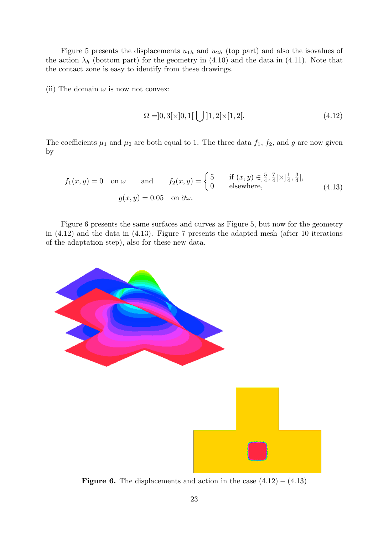Figure 5 presents the displacements  $u_{1h}$  and  $u_{2h}$  (top part) and also the isovalues of the action  $\lambda_h$  (bottom part) for the geometry in (4.10) and the data in (4.11). Note that the contact zone is easy to identify from these drawings.

(ii) The domain  $\omega$  is now not convex:

$$
\Omega = ]0, 3[\times]0, 1[\bigcup]1, 2[\times[1, 2[. \tag{4.12})
$$

The coefficients  $\mu_1$  and  $\mu_2$  are both equal to 1. The three data  $f_1$ ,  $f_2$ , and g are now given by

$$
f_1(x,y) = 0 \quad \text{on } \omega \qquad \text{and} \qquad f_2(x,y) = \begin{cases} 5 & \text{if } (x,y) \in ]\frac{5}{4}, \frac{7}{4}[\times ]\frac{1}{4}, \frac{3}{4}[, \\ 0 & \text{elsewhere,} \end{cases} \tag{4.13}
$$
\n
$$
g(x,y) = 0.05 \quad \text{on } \partial \omega.
$$

Figure 6 presents the same surfaces and curves as Figure 5, but now for the geometry in (4.12) and the data in (4.13). Figure 7 presents the adapted mesh (after 10 iterations of the adaptation step), also for these new data.



**Figure 6.** The displacements and action in the case  $(4.12) - (4.13)$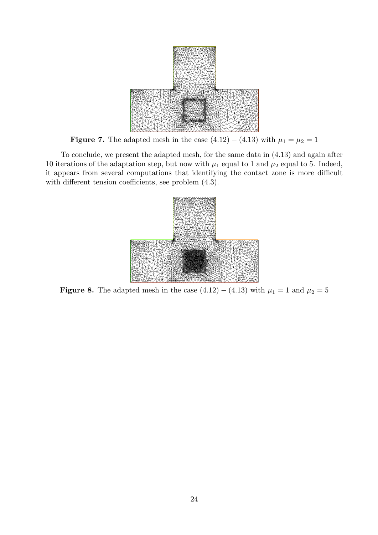

**Figure 7.** The adapted mesh in the case  $(4.12) - (4.13)$  with  $\mu_1 = \mu_2 = 1$ 

To conclude, we present the adapted mesh, for the same data in (4.13) and again after 10 iterations of the adaptation step, but now with  $\mu_1$  equal to 1 and  $\mu_2$  equal to 5. Indeed, it appears from several computations that identifying the contact zone is more difficult with different tension coefficients, see problem  $(4.3)$ .



**Figure 8.** The adapted mesh in the case  $(4.12) - (4.13)$  with  $\mu_1 = 1$  and  $\mu_2 = 5$